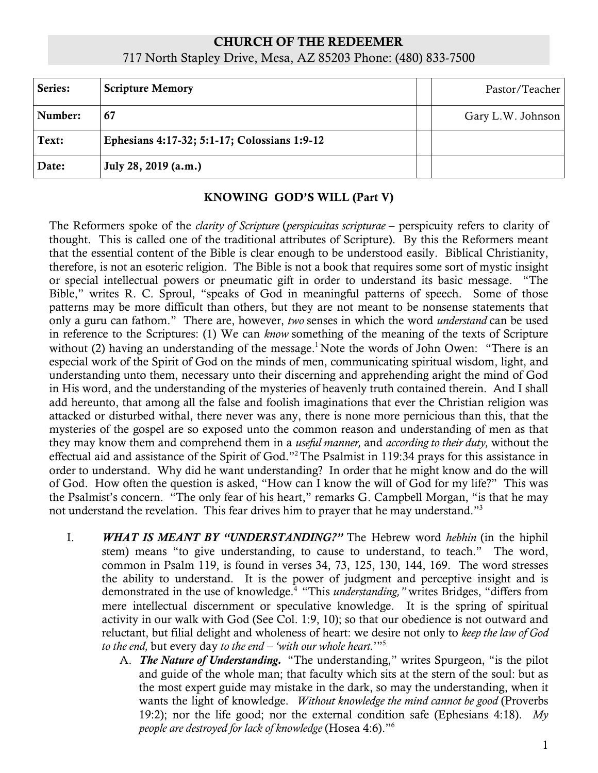# CHURCH OF THE REDEEMER 717 North Stapley Drive, Mesa, AZ 85203 Phone: (480) 833-7500

| Series: | <b>Scripture Memory</b>                      | Pastor/Teacher    |
|---------|----------------------------------------------|-------------------|
| Number: | 67                                           | Gary L.W. Johnson |
| Text:   | Ephesians 4:17-32; 5:1-17; Colossians 1:9-12 |                   |
| Date:   | July 28, 2019 (a.m.)                         |                   |

#### KNOWING GOD'S WILL (Part V)

The Reformers spoke of the *clarity of Scripture* (*perspicuitas scripturae* – perspicuity refers to clarity of thought. This is called one of the traditional attributes of Scripture). By this the Reformers meant that the essential content of the Bible is clear enough to be understood easily. Biblical Christianity, therefore, is not an esoteric religion. The Bible is not a book that requires some sort of mystic insight or special intellectual powers or pneumatic gift in order to understand its basic message. "The Bible," writes R. C. Sproul, "speaks of God in meaningful patterns of speech. Some of those patterns may be more difficult than others, but they are not meant to be nonsense statements that only a guru can fathom." There are, however, *two* senses in which the word *understand* can be used in reference to the Scriptures: (1) We can *know* something of the meaning of the texts of Scripture without (2) having an understanding of the message.<sup>1</sup> Note the words of John Owen: "There is an especial work of the Spirit of God on the minds of men, communicating spiritual wisdom, light, and understanding unto them, necessary unto their discerning and apprehending aright the mind of God in His word, and the understanding of the mysteries of heavenly truth contained therein. And I shall add hereunto, that among all the false and foolish imaginations that ever the Christian religion was attacked or disturbed withal, there never was any, there is none more pernicious than this, that the mysteries of the gospel are so exposed unto the common reason and understanding of men as that they may know them and comprehend them in a *useful manner,* and *according to their duty,* without the effectual aid and assistance of the Spirit of God."2The Psalmist in 119:34 prays for this assistance in order to understand. Why did he want understanding? In order that he might know and do the will of God. How often the question is asked, "How can I know the will of God for my life?" This was the Psalmist's concern. "The only fear of his heart," remarks G. Campbell Morgan, "is that he may not understand the revelation. This fear drives him to prayer that he may understand."3

- I. *WHAT IS MEANT BY "UNDERSTANDING?"* The Hebrew word *hebhin* (in the hiphil stem) means "to give understanding, to cause to understand, to teach." The word, common in Psalm 119, is found in verses 34, 73, 125, 130, 144, 169. The word stresses the ability to understand. It is the power of judgment and perceptive insight and is demonstrated in the use of knowledge.<sup>4</sup> "This *understanding*," writes Bridges, "differs from mere intellectual discernment or speculative knowledge. It is the spring of spiritual activity in our walk with God (See Col. 1:9, 10); so that our obedience is not outward and reluctant, but filial delight and wholeness of heart: we desire not only to *keep the law of God to the end,* but every day *to the end – 'with our whole heart.*'"5
	- A. *The Nature of Understanding.* "The understanding," writes Spurgeon, "is the pilot and guide of the whole man; that faculty which sits at the stern of the soul: but as the most expert guide may mistake in the dark, so may the understanding, when it wants the light of knowledge. *Without knowledge the mind cannot be good* (Proverbs 19:2); nor the life good; nor the external condition safe (Ephesians 4:18). *My people are destroyed for lack of knowledge* (Hosea 4:6)."6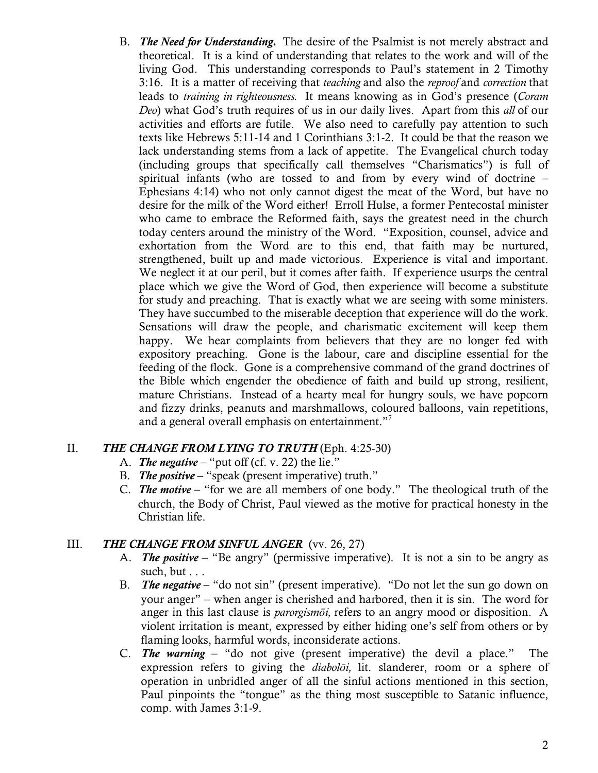B. *The Need for Understanding.* The desire of the Psalmist is not merely abstract and theoretical. It is a kind of understanding that relates to the work and will of the living God. This understanding corresponds to Paul's statement in 2 Timothy 3:16. It is a matter of receiving that *teaching* and also the *reproof* and *correction* that leads to *training in righteousness.* It means knowing as in God's presence (*Coram Deo*) what God's truth requires of us in our daily lives. Apart from this *all* of our activities and efforts are futile. We also need to carefully pay attention to such texts like Hebrews 5:11-14 and 1 Corinthians 3:1-2. It could be that the reason we lack understanding stems from a lack of appetite. The Evangelical church today (including groups that specifically call themselves "Charismatics") is full of spiritual infants (who are tossed to and from by every wind of doctrine – Ephesians 4:14) who not only cannot digest the meat of the Word, but have no desire for the milk of the Word either! Erroll Hulse, a former Pentecostal minister who came to embrace the Reformed faith, says the greatest need in the church today centers around the ministry of the Word. "Exposition, counsel, advice and exhortation from the Word are to this end, that faith may be nurtured, strengthened, built up and made victorious. Experience is vital and important. We neglect it at our peril, but it comes after faith. If experience usurps the central place which we give the Word of God, then experience will become a substitute for study and preaching. That is exactly what we are seeing with some ministers. They have succumbed to the miserable deception that experience will do the work. Sensations will draw the people, and charismatic excitement will keep them happy. We hear complaints from believers that they are no longer fed with expository preaching. Gone is the labour, care and discipline essential for the feeding of the flock. Gone is a comprehensive command of the grand doctrines of the Bible which engender the obedience of faith and build up strong, resilient, mature Christians. Instead of a hearty meal for hungry souls, we have popcorn and fizzy drinks, peanuts and marshmallows, coloured balloons, vain repetitions, and a general overall emphasis on entertainment."7

#### II. *THE CHANGE FROM LYING TO TRUTH* (Eph. 4:25-30)

- A. *The negative* "put off (cf. v. 22) the lie."
- B. *The positive* "speak (present imperative) truth."
- C. *The motive* "for we are all members of one body." The theological truth of the church, the Body of Christ, Paul viewed as the motive for practical honesty in the Christian life.

## III. *THE CHANGE FROM SINFUL ANGER* (vv. 26, 27)

- A. *The positive* "Be angry" (permissive imperative). It is not a sin to be angry as such, but . . .
- B. *The negative* "do not sin" (present imperative). "Do not let the sun go down on your anger" – when anger is cherished and harbored, then it is sin. The word for anger in this last clause is *parorgismōi,* refers to an angry mood or disposition. A violent irritation is meant, expressed by either hiding one's self from others or by flaming looks, harmful words, inconsiderate actions.
- C. *The warning* "do not give (present imperative) the devil a place." The expression refers to giving the *diabolōi,* lit. slanderer, room or a sphere of operation in unbridled anger of all the sinful actions mentioned in this section, Paul pinpoints the "tongue" as the thing most susceptible to Satanic influence, comp. with James 3:1-9.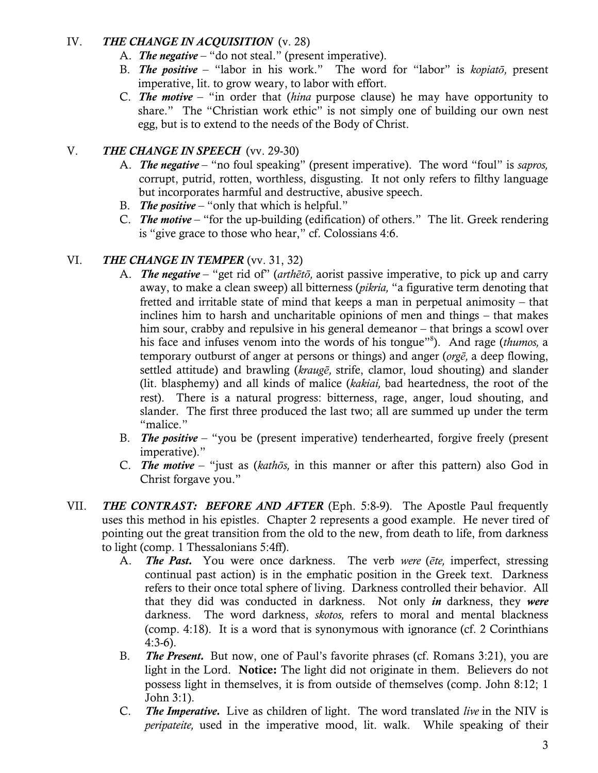## IV. *THE CHANGE IN ACQUISITION* (v. 28)

- A. *The negative* "do not steal." (present imperative).
- B. *The positive* "labor in his work." The word for "labor" is *kopiatō,* present imperative, lit. to grow weary, to labor with effort.
- C. *The motive* "in order that (*hina* purpose clause) he may have opportunity to share." The "Christian work ethic" is not simply one of building our own nest egg, but is to extend to the needs of the Body of Christ.

## V. *THE CHANGE IN SPEECH* (vv. 29-30)

- A. *The negative* "no foul speaking" (present imperative). The word "foul" is *sapros,* corrupt, putrid, rotten, worthless, disgusting. It not only refers to filthy language but incorporates harmful and destructive, abusive speech.
- B. *The positive* "only that which is helpful."
- C. *The motive* "for the up-building (edification) of others." The lit. Greek rendering is "give grace to those who hear," cf. Colossians 4:6.

## VI. *THE CHANGE IN TEMPER* (vv. 31, 32)

- A. *The negative* "get rid of" (*arthētō,* aorist passive imperative, to pick up and carry away, to make a clean sweep) all bitterness (*pikria,* "a figurative term denoting that fretted and irritable state of mind that keeps a man in perpetual animosity – that inclines him to harsh and uncharitable opinions of men and things – that makes him sour, crabby and repulsive in his general demeanor – that brings a scowl over his face and infuses venom into the words of his tongue"8 ). And rage (*thumos,* a temporary outburst of anger at persons or things) and anger (*orgē,* a deep flowing, settled attitude) and brawling (*kraugē,* strife, clamor, loud shouting) and slander (lit. blasphemy) and all kinds of malice (*kakiai,* bad heartedness, the root of the rest). There is a natural progress: bitterness, rage, anger, loud shouting, and slander. The first three produced the last two; all are summed up under the term "malice."
- B. *The positive* "you be (present imperative) tenderhearted, forgive freely (present imperative)."
- C. *The motive* "just as (*kathōs,* in this manner or after this pattern) also God in Christ forgave you."
- VII. *THE CONTRAST: BEFORE AND AFTER* (Eph. 5:8-9). The Apostle Paul frequently uses this method in his epistles. Chapter 2 represents a good example. He never tired of pointing out the great transition from the old to the new, from death to life, from darkness to light (comp. 1 Thessalonians 5:4ff).
	- A. *The Past.* You were once darkness. The verb *were* (*ēte,* imperfect, stressing continual past action) is in the emphatic position in the Greek text. Darkness refers to their once total sphere of living. Darkness controlled their behavior. All that they did was conducted in darkness. Not only *in* darkness, they *were* darkness. The word darkness, *skotos,* refers to moral and mental blackness (comp. 4:18). It is a word that is synonymous with ignorance (cf. 2 Corinthians 4:3-6).
	- B. *The Present.* But now, one of Paul's favorite phrases (cf. Romans 3:21), you are light in the Lord. Notice: The light did not originate in them. Believers do not possess light in themselves, it is from outside of themselves (comp. John 8:12; 1 John 3:1).
	- C. *The Imperative.* Live as children of light. The word translated *live* in the NIV is *peripateite,* used in the imperative mood, lit. walk. While speaking of their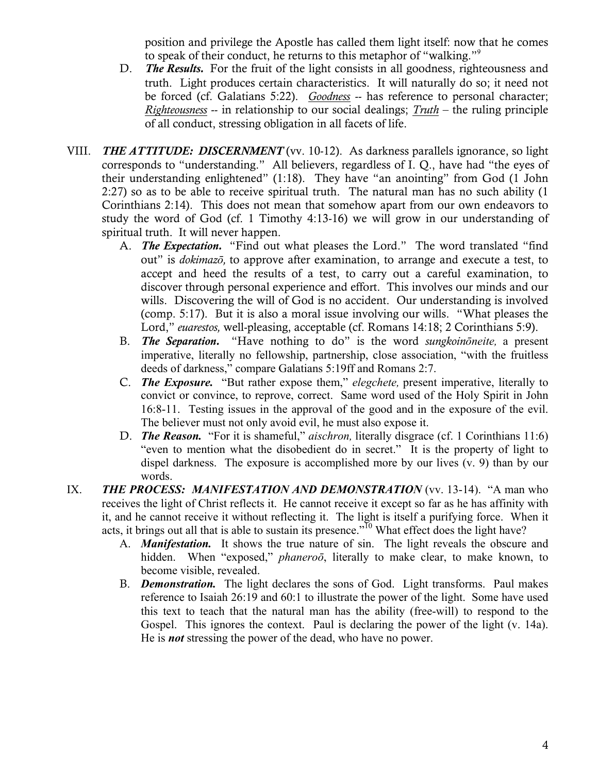position and privilege the Apostle has called them light itself: now that he comes to speak of their conduct, he returns to this metaphor of "walking."9

- D. *The Results.* For the fruit of the light consists in all goodness, righteousness and truth. Light produces certain characteristics. It will naturally do so; it need not be forced (cf. Galatians 5:22). *Goodness* -- has reference to personal character; *Righteousness* -- in relationship to our social dealings; *Truth* – the ruling principle of all conduct, stressing obligation in all facets of life.
- VIII. *THE ATTITUDE: DISCERNMENT* (vv. 10-12). As darkness parallels ignorance, so light corresponds to "understanding." All believers, regardless of I. Q., have had "the eyes of their understanding enlightened" (1:18). They have "an anointing" from God (1 John 2:27) so as to be able to receive spiritual truth. The natural man has no such ability (1 Corinthians 2:14). This does not mean that somehow apart from our own endeavors to study the word of God (cf. 1 Timothy 4:13-16) we will grow in our understanding of spiritual truth. It will never happen.
	- A. *The Expectation.* "Find out what pleases the Lord." The word translated "find out" is *dokimazō,* to approve after examination, to arrange and execute a test, to accept and heed the results of a test, to carry out a careful examination, to discover through personal experience and effort. This involves our minds and our wills. Discovering the will of God is no accident. Our understanding is involved (comp. 5:17). But it is also a moral issue involving our wills. "What pleases the Lord," *euarestos,* well-pleasing, acceptable (cf. Romans 14:18; 2 Corinthians 5:9).
	- B. *The Separation.* "Have nothing to do" is the word *sungkoinōneite,* a present imperative, literally no fellowship, partnership, close association, "with the fruitless deeds of darkness," compare Galatians 5:19ff and Romans 2:7.
	- C. *The Exposure.* "But rather expose them," *elegchete,* present imperative, literally to convict or convince, to reprove, correct. Same word used of the Holy Spirit in John 16:8-11. Testing issues in the approval of the good and in the exposure of the evil. The believer must not only avoid evil, he must also expose it.
	- D. *The Reason.* "For it is shameful," *aischron,* literally disgrace (cf. 1 Corinthians 11:6) "even to mention what the disobedient do in secret." It is the property of light to dispel darkness. The exposure is accomplished more by our lives (v. 9) than by our words.
- IX. **THE PROCESS: MANIFESTATION AND DEMONSTRATION** (vv. 13-14). "A man who receives the light of Christ reflects it. He cannot receive it except so far as he has affinity with it, and he cannot receive it without reflecting it. The light is itself a purifying force. When it acts, it brings out all that is able to sustain its presence."<sup>10</sup> What effect does the light have?
	- A. *Manifestation.* It shows the true nature of sin. The light reveals the obscure and hidden. When "exposed," *phaneroō*, literally to make clear, to make known, to become visible, revealed.
	- B. *Demonstration.* The light declares the sons of God. Light transforms. Paul makes reference to Isaiah 26:19 and 60:1 to illustrate the power of the light. Some have used this text to teach that the natural man has the ability (free-will) to respond to the Gospel. This ignores the context. Paul is declaring the power of the light (v. 14a). He is *not* stressing the power of the dead, who have no power.